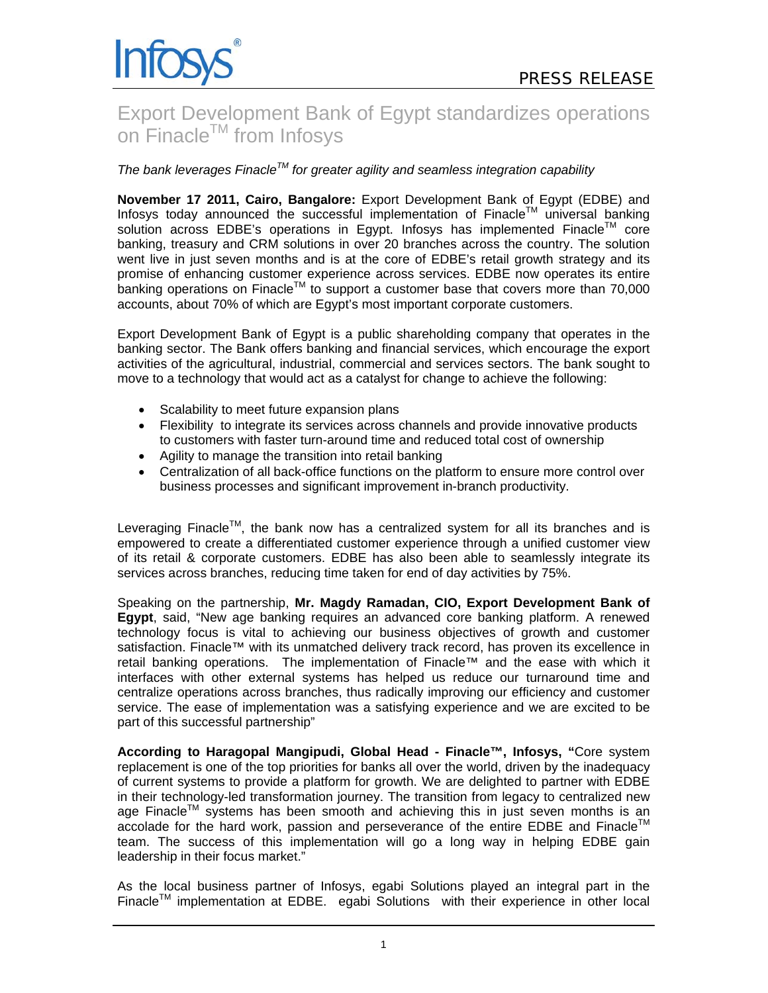# Export Development Bank of Egypt standardizes operations on Finacle™ from Infosys

# *The bank leverages FinacleTM for greater agility and seamless integration capability*

**November 17 2011, Cairo, Bangalore:** Export Development Bank of Egypt (EDBE) and Infosys today announced the successful implementation of Finacle<sup>TM</sup> universal banking solution across EDBE's operations in Egypt. Infosys has implemented Finacle™ core banking, treasury and CRM solutions in over 20 branches across the country. The solution went live in just seven months and is at the core of EDBE's retail growth strategy and its promise of enhancing customer experience across services. EDBE now operates its entire banking operations on Finacle<sup>TM</sup> to support a customer base that covers more than 70,000 accounts, about 70% of which are Egypt's most important corporate customers.

Export Development Bank of Egypt is a public shareholding company that operates in the banking sector. The Bank offers banking and financial services, which encourage the export activities of the agricultural, industrial, commercial and services sectors. The bank sought to move to a technology that would act as a catalyst for change to achieve the following:

- Scalability to meet future expansion plans
- Flexibility to integrate its services across channels and provide innovative products to customers with faster turn-around time and reduced total cost of ownership
- Agility to manage the transition into retail banking
- Centralization of all back-office functions on the platform to ensure more control over business processes and significant improvement in-branch productivity.

Leveraging Finacle<sup>TM</sup>, the bank now has a centralized system for all its branches and is empowered to create a differentiated customer experience through a unified customer view of its retail & corporate customers. EDBE has also been able to seamlessly integrate its services across branches, reducing time taken for end of day activities by 75%.

Speaking on the partnership, **Mr. Magdy Ramadan, CIO, Export Development Bank of Egypt**, said, "New age banking requires an advanced core banking platform. A renewed technology focus is vital to achieving our business objectives of growth and customer satisfaction. Finacle™ with its unmatched delivery track record, has proven its excellence in retail banking operations. The implementation of Finacle™ and the ease with which it interfaces with other external systems has helped us reduce our turnaround time and centralize operations across branches, thus radically improving our efficiency and customer service. The ease of implementation was a satisfying experience and we are excited to be part of this successful partnership"

**According to Haragopal Mangipudi, Global Head - Finacle™, Infosys, "**Core system replacement is one of the top priorities for banks all over the world, driven by the inadequacy of current systems to provide a platform for growth. We are delighted to partner with EDBE in their technology-led transformation journey. The transition from legacy to centralized new age Finacle<sup>TM</sup> systems has been smooth and achieving this in just seven months is an accolade for the hard work, passion and perseverance of the entire EDBE and Finacle<sup>TM</sup> team. The success of this implementation will go a long way in helping EDBE gain leadership in their focus market."

As the local business partner of Infosys, egabi Solutions played an integral part in the Finacle<sup>TM</sup> implementation at EDBE. egabi Solutions with their experience in other local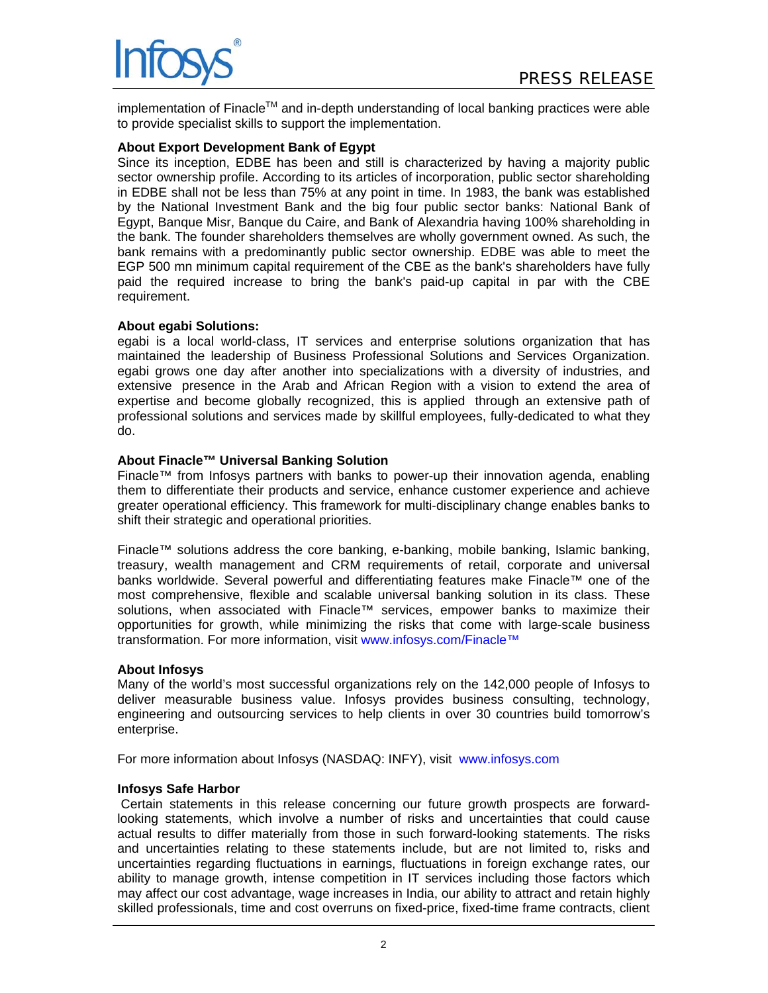

implementation of Finacle<sup>TM</sup> and in-depth understanding of local banking practices were able to provide specialist skills to support the implementation.

#### **About Export Development Bank of Egypt**

Since its inception, EDBE has been and still is characterized by having a majority public sector ownership profile. According to its articles of incorporation, public sector shareholding in EDBE shall not be less than 75% at any point in time. In 1983, the bank was established by the National Investment Bank and the big four public sector banks: National Bank of Egypt, Banque Misr, Banque du Caire, and Bank of Alexandria having 100% shareholding in the bank. The founder shareholders themselves are wholly government owned. As such, the bank remains with a predominantly public sector ownership. EDBE was able to meet the EGP 500 mn minimum capital requirement of the CBE as the bank's shareholders have fully paid the required increase to bring the bank's paid-up capital in par with the CBE requirement.

#### **About egabi Solutions:**

egabi is a local world-class, IT services and enterprise solutions organization that has maintained the leadership of Business Professional Solutions and Services Organization. egabi grows one day after another into specializations with a diversity of industries, and extensive presence in the Arab and African Region with a vision to extend the area of expertise and become globally recognized, this is applied through an extensive path of professional solutions and services made by skillful employees, fully-dedicated to what they do.

#### **About Finacle™ Universal Banking Solution**

Finacle™ from Infosys partners with banks to power-up their innovation agenda, enabling them to differentiate their products and service, enhance customer experience and achieve greater operational efficiency. This framework for multi-disciplinary change enables banks to shift their strategic and operational priorities.

Finacle™ solutions address the core banking, e-banking, mobile banking, Islamic banking, treasury, wealth management and CRM requirements of retail, corporate and universal banks worldwide. Several powerful and differentiating features make Finacle™ one of the most comprehensive, flexible and scalable universal banking solution in its class. These solutions, when associated with Finacle™ services, empower banks to maximize their opportunities for growth, while minimizing the risks that come with large-scale business transformation. For more information, visit [www.infosys.com/Finacle™](http://www.infosys.com/finacle)

# **About Infosys**

Many of the world's most successful organizations rely on the 142,000 people of Infosys to deliver measurable business value. Infosys provides business consulting, technology, engineering and outsourcing services to help clients in over 30 countries build tomorrow's enterprise.

For more information about Infosys (NASDAQ: INFY), visit www.infosys.com

# **Infosys Safe Harbor**

Certain statements in this release concerning our future growth prospects are forwardlooking statements, which involve a number of risks and uncertainties that could cause actual results to differ materially from those in such forward-looking statements. The risks and uncertainties relating to these statements include, but are not limited to, risks and uncertainties regarding fluctuations in earnings, fluctuations in foreign exchange rates, our ability to manage growth, intense competition in IT services including those factors which may affect our cost advantage, wage increases in India, our ability to attract and retain highly skilled professionals, time and cost overruns on fixed-price, fixed-time frame contracts, client